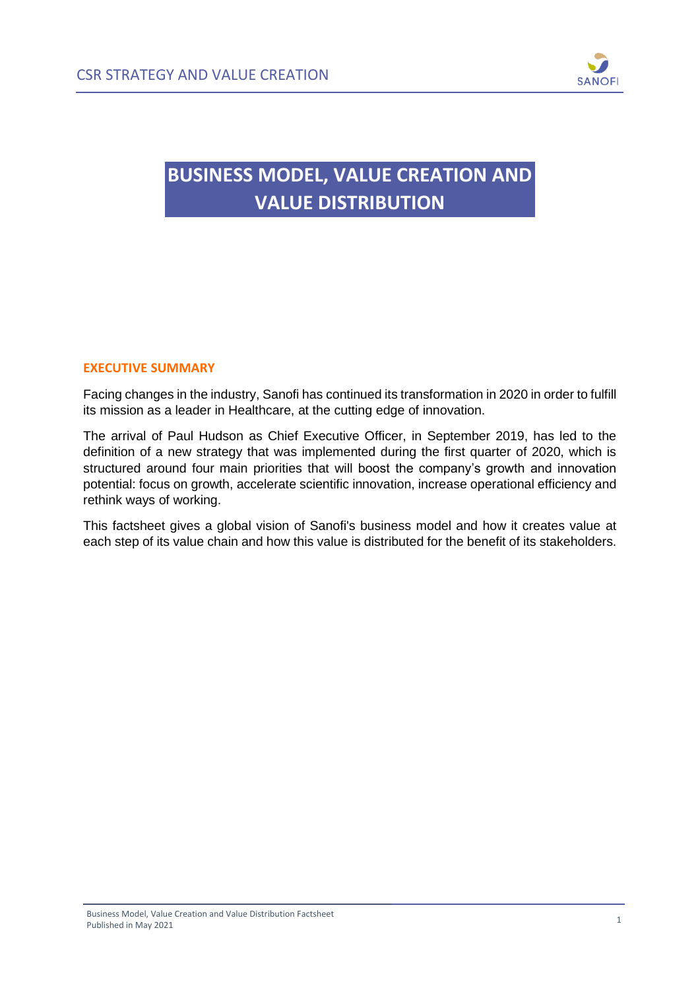

## **BUSINESS MODEL, VALUE CREATION AND VALUE DISTRIBUTION**

## **EXECUTIVE SUMMARY**

Facing changes in the industry, Sanofi has continued its transformation in 2020 in order to fulfill its mission as a leader in Healthcare, at the cutting edge of innovation.

The arrival of Paul Hudson as Chief Executive Officer, in September 2019, has led to the definition of a new strategy that was implemented during the first quarter of 2020, which is structured around four main priorities that will boost the company's growth and innovation potential: focus on growth, accelerate scientific innovation, increase operational efficiency and rethink ways of working.

This factsheet gives a global vision of Sanofi's business model and how it creates value at each step of its value chain and how this value is distributed for the benefit of its stakeholders.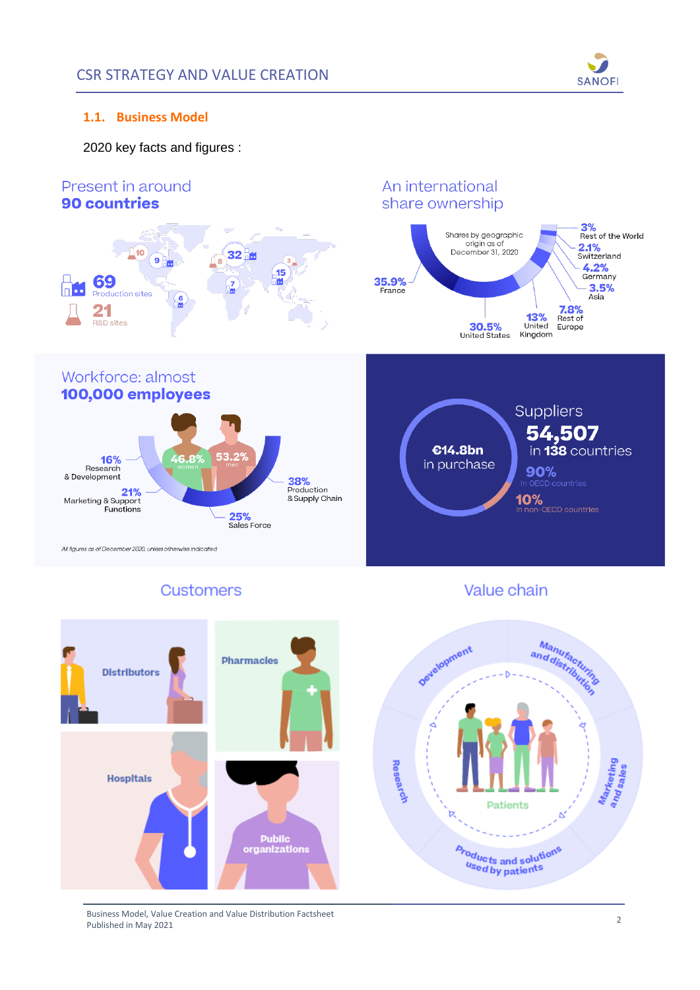

## **1.1. Business Model**

2020 key facts and figures :



## Customers

Value chain



Business Model, Value Creation and Value Distribution Factsheet Business Model, Value Creation and Value Distribution Factsheet<br>Published in May 2021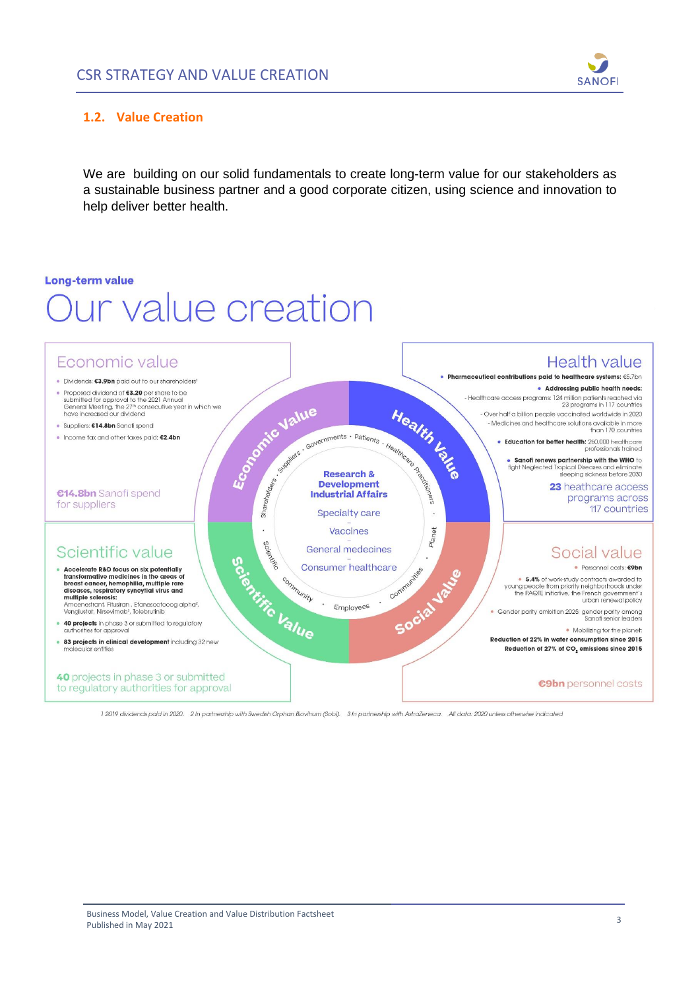

### **1.2. Value Creation**

We are building on our solid fundamentals to create long-term value for our stakeholders as a sustainable business partner and a good corporate citizen, using science and innovation to help deliver better health.

#### **Long-term value**

# **Jur value creation**



1 2019 dividends paid in 2020. 2 In partnership with Swedish Orphan Biovitrum (Sobi). 3 In partnership with AstraZeneca. All data: 2020 unless otherwise indicated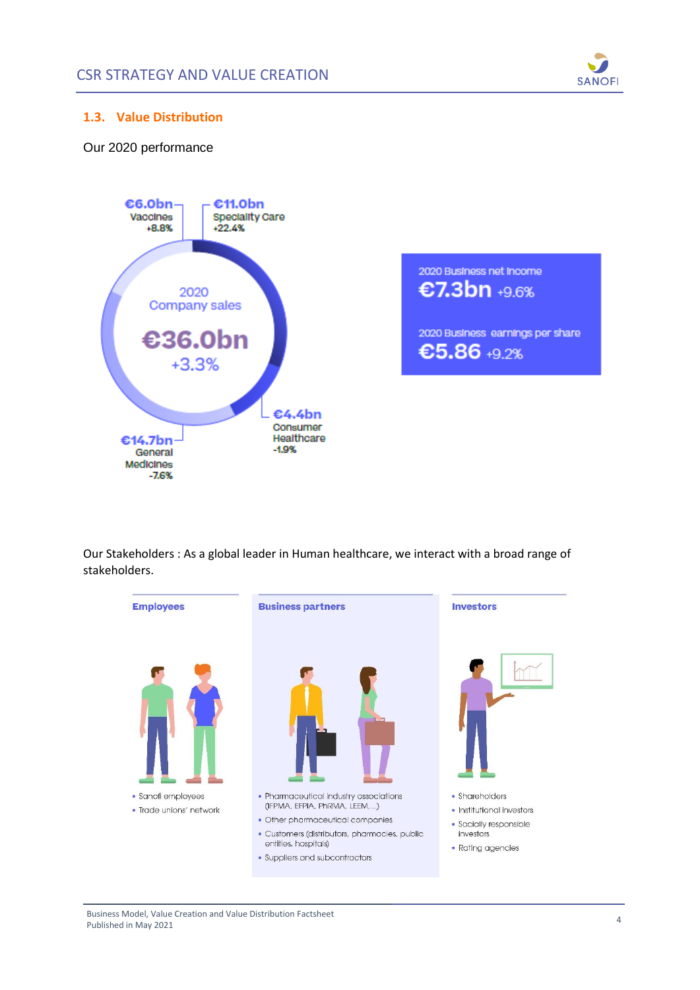

## **1.3. Value Distribution**

## Our 2020 performance



2020 Business net income €7.3bn +9.6% 2020 Business earnings per share €5.86 +9.2%

Our Stakeholders : As a global leader in Human healthcare, we interact with a broad range of stakeholders.